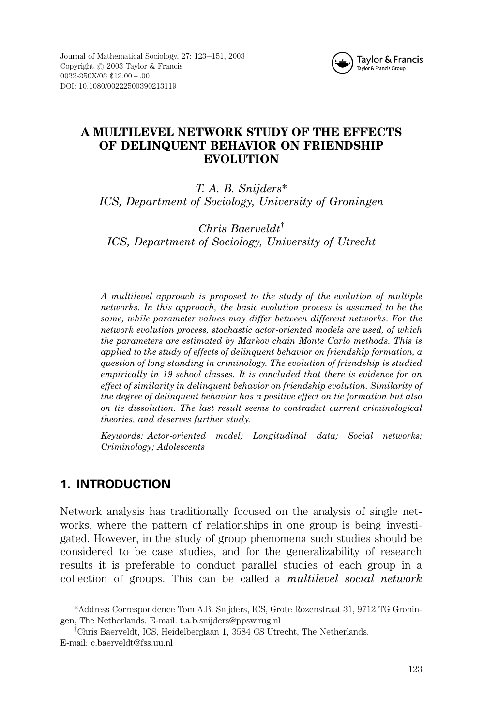

## A MULTILEVEL NETWORK STUDY OF THE EFFECTS OF DELINQUENT BEHAVIOR ON FRIENDSHIP **EVOLUTION**

T. A. B. Snijders\* ICS, Department of Sociology, University of Groningen

 $Christ Baerveldt<sup>†</sup>$ ICS, Department of Sociology, University of Utrecht

A multilevel approach is proposed to the study of the evolution of multiple networks. In this approach, the basic evolution process is assumed to be the same, while parameter values may differ between different networks. For the network evolution process, stochastic actor-oriented models are used, of which the parameters are estimated by Markov chain Monte Carlo methods. This is applied to the study of effects of delinquent behavior on friendship formation, a question of long standing in criminology. The evolution of friendship is studied empirically in 19 school classes. It is concluded that there is evidence for an effect of similarity in delinquent behavior on friendship evolution. Similarity of the degree of delinquent behavior has a positive effect on tie formation but also on tie dissolution. The last result seems to contradict current criminological theories, and deserves further study.

Keywords: Actor-oriented model; Longitudinal data; Social networks; Criminology; Adolescents

# 1. INTRODUCTION

Network analysis has traditionally focused on the analysis of single networks, where the pattern of relationships in one group is being investigated. However, in the study of group phenomena such studies should be considered to be case studies, and for the generalizability of research results it is preferable to conduct parallel studies of each group in a collection of groups. This can be called a multilevel social network

<sup>\*</sup>Address Correspondence Tom A.B. Snijders, ICS, Grote Rozenstraat 31, 9712 TG Groningen, The Netherlands. E-mail: t.a.b.snijders@ppsw.rug.nl

<sup>&</sup>lt;sup>†</sup>Chris Baerveldt, ICS, Heidelberglaan 1, 3584 CS Utrecht, The Netherlands. E-mail: c.baerveldt@fss.uu.nl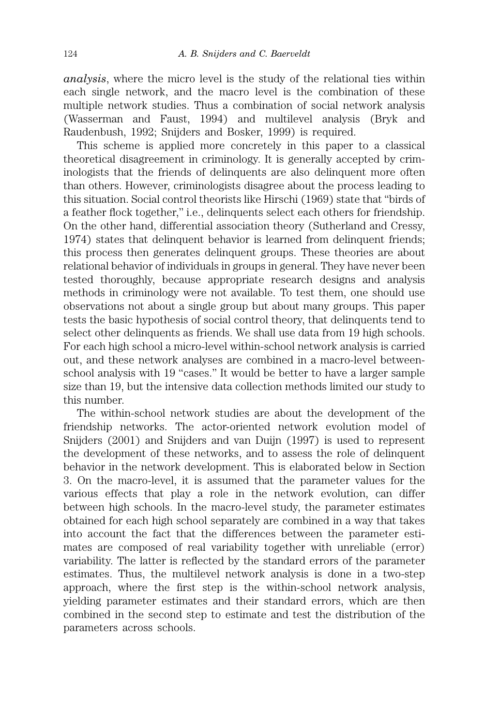analysis, where the micro level is the study of the relational ties within each single network, and the macro level is the combination of these multiple network studies. Thus a combination of social network analysis (Wasserman and Faust, 1994) and multilevel analysis (Bryk and Raudenbush, 1992; Snijders and Bosker, 1999) is required.

This scheme is applied more concretely in this paper to a classical theoretical disagreement in criminology. It is generally accepted by criminologists that the friends of delinquents are also delinquent more often than others. However, criminologists disagree about the process leading to this situation. Social control theorists like Hirschi (1969) state that ''birds of a feather flock together,'' i.e., delinquents select each others for friendship. On the other hand, differential association theory (Sutherland and Cressy, 1974) states that delinquent behavior is learned from delinquent friends; this process then generates delinquent groups. These theories are about relational behavior of individuals in groups in general. They have never been tested thoroughly, because appropriate research designs and analysis methods in criminology were not available. To test them, one should use observations not about a single group but about many groups. This paper tests the basic hypothesis of social control theory, that delinquents tend to select other delinquents as friends. We shall use data from 19 high schools. For each high school a micro-level within-school network analysis is carried out, and these network analyses are combined in a macro-level betweenschool analysis with 19 "cases." It would be better to have a larger sample size than 19, but the intensive data collection methods limited our study to this number.

The within-school network studies are about the development of the friendship networks. The actor-oriented network evolution model of Snijders (2001) and Snijders and van Duijn (1997) is used to represent the development of these networks, and to assess the role of delinquent behavior in the network development. This is elaborated below in Section 3. On the macro-level, it is assumed that the parameter values for the various effects that play a role in the network evolution, can differ between high schools. In the macro-level study, the parameter estimates obtained for each high school separately are combined in a way that takes into account the fact that the differences between the parameter estimates are composed of real variability together with unreliable (error) variability. The latter is reflected by the standard errors of the parameter estimates. Thus, the multilevel network analysis is done in a two-step approach, where the first step is the within-school network analysis, yielding parameter estimates and their standard errors, which are then combined in the second step to estimate and test the distribution of the parameters across schools.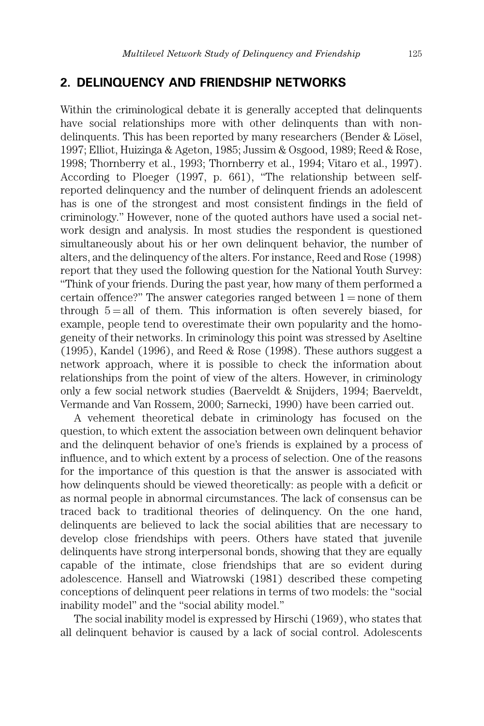### 2. DELINQUENCY AND FRIENDSHIP NETWORKS

Within the criminological debate it is generally accepted that delinquents have social relationships more with other delinquents than with nondelinquents. This has been reported by many researchers (Bender  $&$  Lösel, 1997; Elliot, Huizinga & Ageton, 1985; Jussim & Osgood, 1989; Reed & Rose, 1998; Thornberry et al., 1993; Thornberry et al., 1994; Vitaro et al., 1997). According to Ploeger (1997, p. 661), ''The relationship between selfreported delinquency and the number of delinquent friends an adolescent has is one of the strongest and most consistent findings in the field of criminology.'' However, none of the quoted authors have used a social network design and analysis. In most studies the respondent is questioned simultaneously about his or her own delinquent behavior, the number of alters, and the delinquency of the alters. For instance, Reed and Rose (1998) report that they used the following question for the National Youth Survey: ''Think of your friends. During the past year, how many of them performed a certain offence?" The answer categories ranged between  $1 =$  none of them through  $5 = all$  of them. This information is often severely biased, for example, people tend to overestimate their own popularity and the homogeneity of their networks. In criminology this point was stressed by Aseltine (1995), Kandel (1996), and Reed & Rose (1998). These authors suggest a network approach, where it is possible to check the information about relationships from the point of view of the alters. However, in criminology only a few social network studies (Baerveldt & Snijders, 1994; Baerveldt, Vermande and Van Rossem, 2000; Sarnecki, 1990) have been carried out.

A vehement theoretical debate in criminology has focused on the question, to which extent the association between own delinquent behavior and the delinquent behavior of one's friends is explained by a process of influence, and to which extent by a process of selection. One of the reasons for the importance of this question is that the answer is associated with how delinquents should be viewed theoretically: as people with a deficit or as normal people in abnormal circumstances. The lack of consensus can be traced back to traditional theories of delinquency. On the one hand, delinquents are believed to lack the social abilities that are necessary to develop close friendships with peers. Others have stated that juvenile delinquents have strong interpersonal bonds, showing that they are equally capable of the intimate, close friendships that are so evident during adolescence. Hansell and Wiatrowski (1981) described these competing conceptions of delinquent peer relations in terms of two models: the ''social inability model'' and the ''social ability model.''

The social inability model is expressed by Hirschi (1969), who states that all delinquent behavior is caused by a lack of social control. Adolescents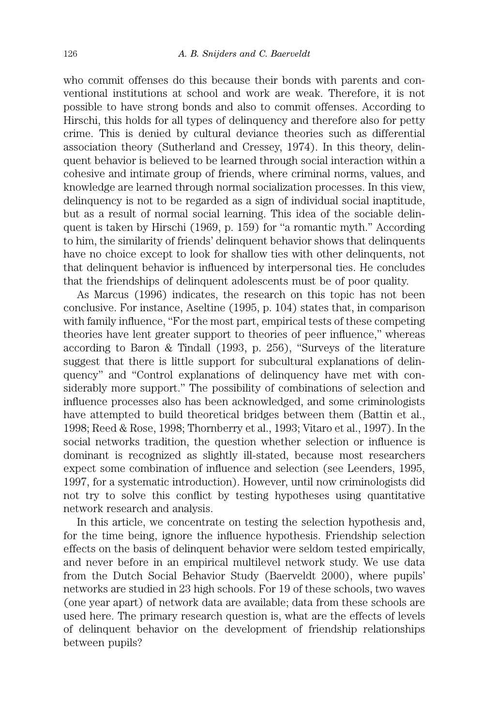who commit offenses do this because their bonds with parents and conventional institutions at school and work are weak. Therefore, it is not possible to have strong bonds and also to commit offenses. According to Hirschi, this holds for all types of delinquency and therefore also for petty crime. This is denied by cultural deviance theories such as differential association theory (Sutherland and Cressey, 1974). In this theory, delinquent behavior is believed to be learned through social interaction within a cohesive and intimate group of friends, where criminal norms, values, and knowledge are learned through normal socialization processes. In this view, delinquency is not to be regarded as a sign of individual social inaptitude, but as a result of normal social learning. This idea of the sociable delinquent is taken by Hirschi (1969, p. 159) for ''a romantic myth.'' According to him, the similarity of friends' delinquent behavior shows that delinquents have no choice except to look for shallow ties with other delinquents, not that delinquent behavior is influenced by interpersonal ties. He concludes that the friendships of delinquent adolescents must be of poor quality.

As Marcus (1996) indicates, the research on this topic has not been conclusive. For instance, Aseltine (1995, p. 104) states that, in comparison with family influence, "For the most part, empirical tests of these competing theories have lent greater support to theories of peer influence,'' whereas according to Baron & Tindall (1993, p. 256), ''Surveys of the literature suggest that there is little support for subcultural explanations of delinquency'' and ''Control explanations of delinquency have met with considerably more support.'' The possibility of combinations of selection and influence processes also has been acknowledged, and some criminologists have attempted to build theoretical bridges between them (Battin et al., 1998; Reed & Rose, 1998; Thornberry et al., 1993; Vitaro et al., 1997). In the social networks tradition, the question whether selection or influence is dominant is recognized as slightly ill-stated, because most researchers expect some combination of influence and selection (see Leenders, 1995, 1997, for a systematic introduction). However, until now criminologists did not try to solve this conflict by testing hypotheses using quantitative network research and analysis.

In this article, we concentrate on testing the selection hypothesis and, for the time being, ignore the influence hypothesis. Friendship selection effects on the basis of delinquent behavior were seldom tested empirically, and never before in an empirical multilevel network study. We use data from the Dutch Social Behavior Study (Baerveldt 2000), where pupils' networks are studied in 23 high schools. For 19 of these schools, two waves (one year apart) of network data are available; data from these schools are used here. The primary research question is, what are the effects of levels of delinquent behavior on the development of friendship relationships between pupils?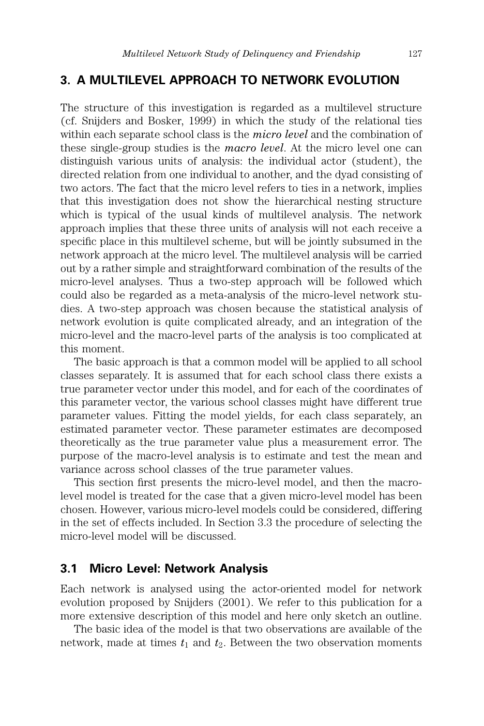### 3. A MULTILEVEL APPROACH TO NETWORK EVOLUTION

The structure of this investigation is regarded as a multilevel structure (cf. Snijders and Bosker, 1999) in which the study of the relational ties within each separate school class is the *micro level* and the combination of these single-group studies is the macro level. At the micro level one can distinguish various units of analysis: the individual actor (student), the directed relation from one individual to another, and the dyad consisting of two actors. The fact that the micro level refers to ties in a network, implies that this investigation does not show the hierarchical nesting structure which is typical of the usual kinds of multilevel analysis. The network approach implies that these three units of analysis will not each receive a specific place in this multilevel scheme, but will be jointly subsumed in the network approach at the micro level. The multilevel analysis will be carried out by a rather simple and straightforward combination of the results of the micro-level analyses. Thus a two-step approach will be followed which could also be regarded as a meta-analysis of the micro-level network studies. A two-step approach was chosen because the statistical analysis of network evolution is quite complicated already, and an integration of the micro-level and the macro-level parts of the analysis is too complicated at this moment.

The basic approach is that a common model will be applied to all school classes separately. It is assumed that for each school class there exists a true parameter vector under this model, and for each of the coordinates of this parameter vector, the various school classes might have different true parameter values. Fitting the model yields, for each class separately, an estimated parameter vector. These parameter estimates are decomposed theoretically as the true parameter value plus a measurement error. The purpose of the macro-level analysis is to estimate and test the mean and variance across school classes of the true parameter values.

This section first presents the micro-level model, and then the macrolevel model is treated for the case that a given micro-level model has been chosen. However, various micro-level models could be considered, differing in the set of effects included. In Section 3.3 the procedure of selecting the micro-level model will be discussed.

### 3.1 Micro Level: Network Analysis

Each network is analysed using the actor-oriented model for network evolution proposed by Snijders (2001). We refer to this publication for a more extensive description of this model and here only sketch an outline.

The basic idea of the model is that two observations are available of the network, made at times  $t_1$  and  $t_2$ . Between the two observation moments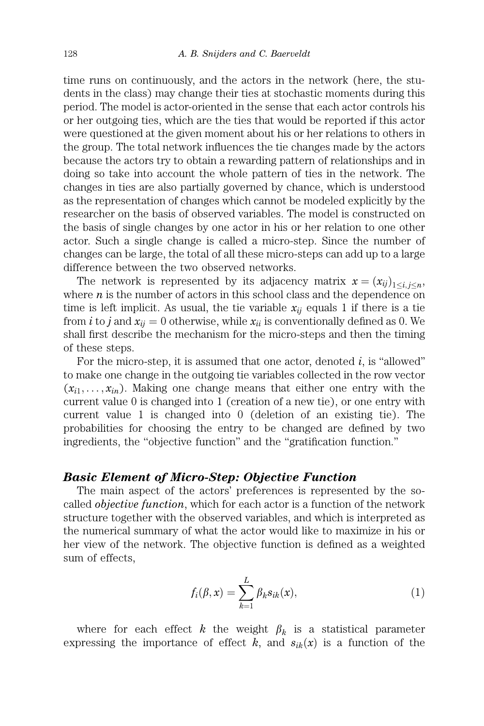time runs on continuously, and the actors in the network (here, the students in the class) may change their ties at stochastic moments during this period. The model is actor-oriented in the sense that each actor controls his or her outgoing ties, which are the ties that would be reported if this actor were questioned at the given moment about his or her relations to others in the group. The total network influences the tie changes made by the actors because the actors try to obtain a rewarding pattern of relationships and in doing so take into account the whole pattern of ties in the network. The changes in ties are also partially governed by chance, which is understood as the representation of changes which cannot be modeled explicitly by the researcher on the basis of observed variables. The model is constructed on the basis of single changes by one actor in his or her relation to one other actor. Such a single change is called a micro-step. Since the number of changes can be large, the total of all these micro-steps can add up to a large difference between the two observed networks.

The network is represented by its adjacency matrix  $x = (x_{ij})_{1 \le i, j \le n}$ , where  $n$  is the number of actors in this school class and the dependence on time is left implicit. As usual, the tie variable  $x_{ii}$  equals 1 if there is a tie from *i* to *j* and  $x_{ii} = 0$  otherwise, while  $x_{ii}$  is conventionally defined as 0. We shall first describe the mechanism for the micro-steps and then the timing of these steps.

For the micro-step, it is assumed that one actor, denoted  $i$ , is "allowed" to make one change in the outgoing tie variables collected in the row vector  $(x_{i1},...,x_{in})$ . Making one change means that either one entry with the current value 0 is changed into 1 (creation of a new tie), or one entry with current value 1 is changed into 0 (deletion of an existing tie). The probabilities for choosing the entry to be changed are defined by two ingredients, the ''objective function'' and the ''gratification function.''

#### Basic Element of Micro-Step: Objective Function

The main aspect of the actors' preferences is represented by the socalled objective function, which for each actor is a function of the network structure together with the observed variables, and which is interpreted as the numerical summary of what the actor would like to maximize in his or her view of the network. The objective function is defined as a weighted sum of effects,

$$
f_i(\beta, x) = \sum_{k=1}^{L} \beta_k s_{ik}(x), \qquad (1)
$$

where for each effect k the weight  $\beta_k$  is a statistical parameter expressing the importance of effect k, and  $s_{ik}(x)$  is a function of the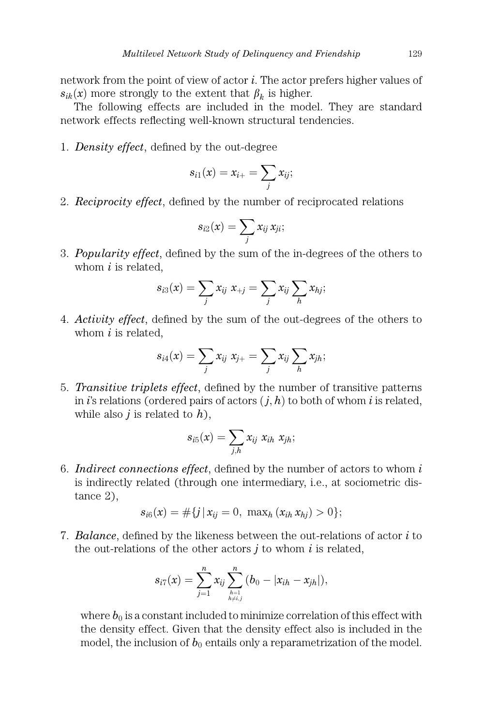network from the point of view of actor  $i$ . The actor prefers higher values of  $s_{ik}(x)$  more strongly to the extent that  $\beta_k$  is higher.

The following effects are included in the model. They are standard network effects reflecting well-known structural tendencies.

1. Density effect, defined by the out-degree

$$
s_{i1}(x)=x_{i+}=\sum_j x_{ij};
$$

2. Reciprocity effect, defined by the number of reciprocated relations

$$
s_{i2}(x) = \sum_j x_{ij} x_{ji};
$$

3. Popularity effect, defined by the sum of the in-degrees of the others to whom  $i$  is related,

$$
s_{i3}(x) = \sum_j x_{ij} \; x_{+j} = \sum_j x_{ij} \sum_h x_{hj};
$$

4. Activity effect, defined by the sum of the out-degrees of the others to whom  $i$  is related,

$$
s_{i4}(x) = \sum_j x_{ij} \; x_{j+} = \sum_j x_{ij} \sum_h x_{jh};
$$

5. Transitive triplets effect, defined by the number of transitive patterns in i's relations (ordered pairs of actors  $(j, h)$  to both of whom i is related, while also *i* is related to  $h$ ),

$$
s_{i5}(x) = \sum_{j,h} x_{ij} x_{ih} x_{jh};
$$

6. Indirect connections effect, defined by the number of actors to whom  $i$ is indirectly related (through one intermediary, i.e., at sociometric distance 2),

$$
s_{i6}(x) = \#\{j \,|\, x_{ij} = 0, \, \max_h (x_{ih} \, x_{hj}) > 0\};
$$

7. Balance, defined by the likeness between the out-relations of actor  $i$  to the out-relations of the other actors  $i$  to whom  $i$  is related,

$$
s_{i7}(x) = \sum_{j=1}^n x_{ij} \sum_{h=1 \atop h \neq i,j}^{n} (b_0 - |x_{ih} - x_{jh}|),
$$

where  $b_0$  is a constant included to minimize correlation of this effect with the density effect. Given that the density effect also is included in the model, the inclusion of  $b_0$  entails only a reparametrization of the model.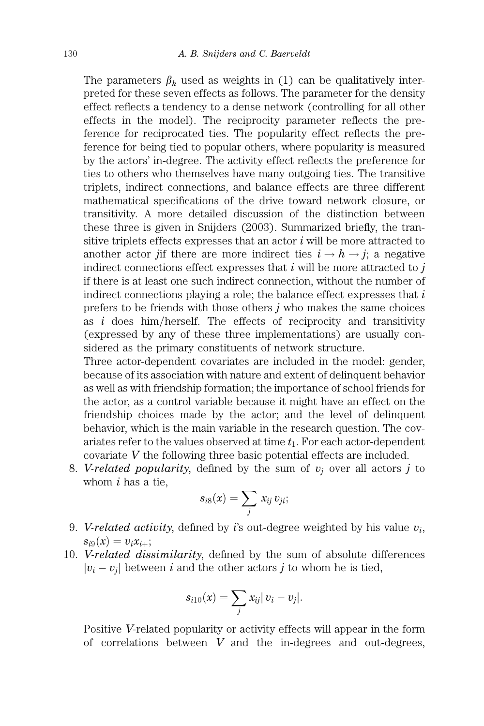The parameters  $\beta_k$  used as weights in (1) can be qualitatively interpreted for these seven effects as follows. The parameter for the density effect reflects a tendency to a dense network (controlling for all other effects in the model). The reciprocity parameter reflects the preference for reciprocated ties. The popularity effect reflects the preference for being tied to popular others, where popularity is measured by the actors' in-degree. The activity effect reflects the preference for ties to others who themselves have many outgoing ties. The transitive triplets, indirect connections, and balance effects are three different mathematical specifications of the drive toward network closure, or transitivity. A more detailed discussion of the distinction between these three is given in Snijders (2003). Summarized briefly, the transitive triplets effects expresses that an actor  $i$  will be more attracted to another actor jif there are more indirect ties  $i \rightarrow h \rightarrow j$ ; a negative indirect connections effect expresses that  $i$  will be more attracted to  $j$ if there is at least one such indirect connection, without the number of indirect connections playing a role; the balance effect expresses that  $i$ prefers to be friends with those others  $j$  who makes the same choices as  $i$  does him/herself. The effects of reciprocity and transitivity (expressed by any of these three implementations) are usually considered as the primary constituents of network structure.

Three actor-dependent covariates are included in the model: gender, because of its association with nature and extent of delinquent behavior as well as with friendship formation; the importance of school friends for the actor, as a control variable because it might have an effect on the friendship choices made by the actor; and the level of delinquent behavior, which is the main variable in the research question. The covariates refer to the values observed at time  $t_1$ . For each actor-dependent covariate V the following three basic potential effects are included.

8. V-related popularity, defined by the sum of  $v_i$  over all actors j to whom  $i$  has a tie,

$$
s_{i8}(x) = \sum_j x_{ij} v_{ji};
$$

- 9. V-related activity, defined by i's out-degree weighted by his value  $v_i$ ,  $s_{i9}(x) = v_i x_{i+};$
- 10. V-related dissimilarity, defined by the sum of absolute differences  $|v_i - v_j|$  between i and the other actors j to whom he is tied,

$$
s_{i10}(x) = \sum_j x_{ij} |v_i - v_j|.
$$

Positive V-related popularity or activity effects will appear in the form of correlations between  $V$  and the in-degrees and out-degrees,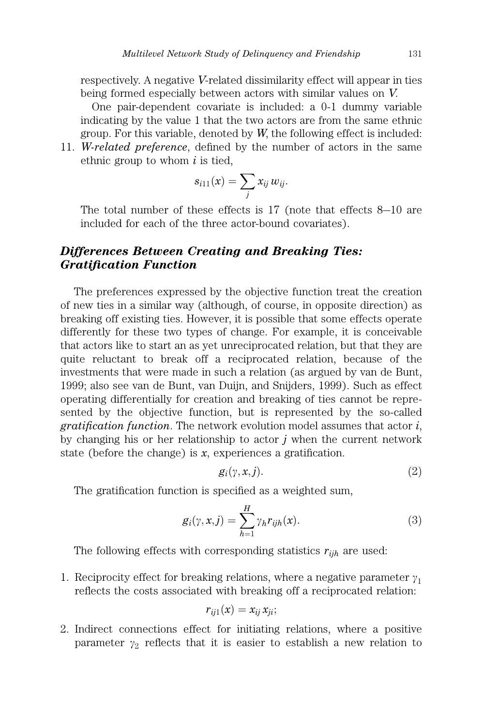respectively. A negative V-related dissimilarity effect will appear in ties being formed especially between actors with similar values on V.

One pair-dependent covariate is included: a 0-1 dummy variable indicating by the value 1 that the two actors are from the same ethnic group. For this variable, denoted by  $W$ , the following effect is included:

11. W-related preference, defined by the number of actors in the same ethnic group to whom  $i$  is tied,

$$
s_{i11}(x) = \sum_j x_{ij} w_{ij}.
$$

The total number of these effects is 17 (note that effects 8–10 are included for each of the three actor-bound covariates).

## Differences Between Creating and Breaking Ties: Gratification Function

The preferences expressed by the objective function treat the creation of new ties in a similar way (although, of course, in opposite direction) as breaking off existing ties. However, it is possible that some effects operate differently for these two types of change. For example, it is conceivable that actors like to start an as yet unreciprocated relation, but that they are quite reluctant to break off a reciprocated relation, because of the investments that were made in such a relation (as argued by van de Bunt, 1999; also see van de Bunt, van Duijn, and Snijders, 1999). Such as effect operating differentially for creation and breaking of ties cannot be represented by the objective function, but is represented by the so-called gratification function. The network evolution model assumes that actor  $i$ , by changing his or her relationship to actor  $\dot{\jmath}$  when the current network state (before the change) is  $x$ , experiences a gratification.

$$
g_i(\gamma, x, j). \tag{2}
$$

The gratification function is specified as a weighted sum,

$$
g_i(\gamma, x, j) = \sum_{h=1}^{H} \gamma_h r_{ijh}(x).
$$
 (3)

The following effects with corresponding statistics  $r_{iih}$  are used:

1. Reciprocity effect for breaking relations, where a negative parameter  $\gamma_1$ reflects the costs associated with breaking off a reciprocated relation:

$$
r_{ij1}(x)=x_{ij}\,x_{ji};
$$

2. Indirect connections effect for initiating relations, where a positive parameter  $\gamma_2$  reflects that it is easier to establish a new relation to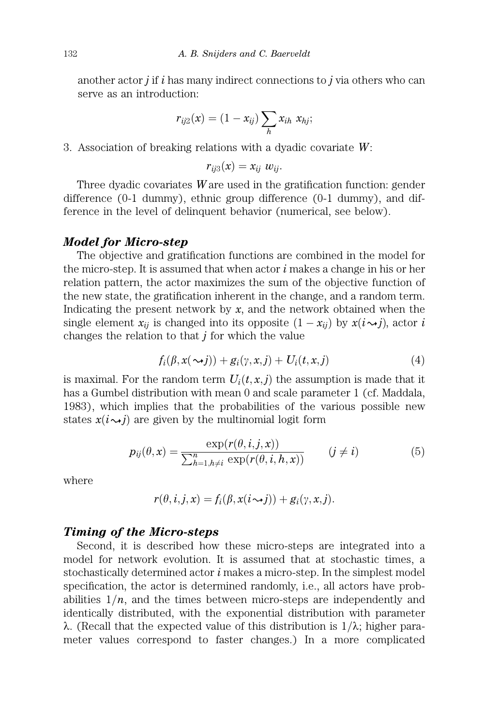another actor  $j$  if  $i$  has many indirect connections to  $j$  via others who can serve as an introduction:

$$
r_{ij2}(x) = (1 - x_{ij}) \sum_{h} x_{ih} \; x_{hj};
$$

3. Association of breaking relations with a dyadic covariate W:

$$
r_{ij3}(x)=x_{ij} w_{ij}.
$$

Three dyadic covariates  $W$  are used in the gratification function: gender difference (0-1 dummy), ethnic group difference (0-1 dummy), and difference in the level of delinquent behavior (numerical, see below).

#### Model for Micro-step

The objective and gratification functions are combined in the model for the micro-step. It is assumed that when actor  $i$  makes a change in his or her relation pattern, the actor maximizes the sum of the objective function of the new state, the gratification inherent in the change, and a random term. Indicating the present network by  $x$ , and the network obtained when the single element  $x_{ij}$  is changed into its opposite  $(1 - x_{ij})$  by  $x(i \rightarrow j)$ , actor  $i$ changes the relation to that  $j$  for which the value

$$
f_i(\beta, x(\sim j)) + g_i(\gamma, x, j) + U_i(t, x, j) \tag{4}
$$

is maximal. For the random term  $U_i(t, x, j)$  the assumption is made that it has a Gumbel distribution with mean 0 and scale parameter 1 (cf. Maddala, 1983), which implies that the probabilities of the various possible new states  $x(i \rightarrow j)$  are given by the multinomial logit form

$$
p_{ij}(\theta, x) = \frac{\exp(r(\theta, i, j, x))}{\sum_{h=1, h \neq i}^{n} \exp(r(\theta, i, h, x))} \qquad (j \neq i)
$$
 (5)

where

$$
r(\theta, i, j, x) = f_i(\beta, x(i \sim j)) + g_i(\gamma, x, j).
$$

#### Timing of the Micro-steps

Second, it is described how these micro-steps are integrated into a model for network evolution. It is assumed that at stochastic times, a stochastically determined actor  $i$  makes a micro-step. In the simplest model specification, the actor is determined randomly, i.e., all actors have probabilities  $1/n$ , and the times between micro-steps are independently and identically distributed, with the exponential distribution with parameter  $\lambda$ . (Recall that the expected value of this distribution is  $1/\lambda$ ; higher parameter values correspond to faster changes.) In a more complicated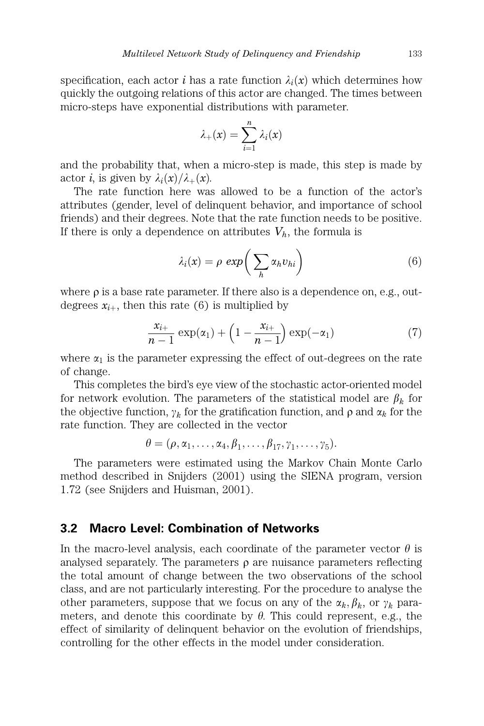specification, each actor i has a rate function  $\lambda_i(x)$  which determines how quickly the outgoing relations of this actor are changed. The times between micro-steps have exponential distributions with parameter.

$$
\lambda_+(x) = \sum_{i=1}^n \lambda_i(x)
$$

and the probability that, when a micro-step is made, this step is made by actor *i*, is given by  $\lambda_i(x)/\lambda_+(x)$ .

The rate function here was allowed to be a function of the actor's attributes (gender, level of delinquent behavior, and importance of school friends) and their degrees. Note that the rate function needs to be positive. If there is only a dependence on attributes  $V_h$ , the formula is

$$
\lambda_i(x) = \rho \exp\bigg(\sum_h \alpha_h v_{hi}\bigg) \tag{6}
$$

where  $\rho$  is a base rate parameter. If there also is a dependence on, e.g., outdegrees  $x_{i+}$ , then this rate (6) is multiplied by

$$
\frac{x_{i+}}{n-1}\exp(\alpha_1)+\left(1-\frac{x_{i+}}{n-1}\right)\exp(-\alpha_1)\tag{7}
$$

where  $\alpha_1$  is the parameter expressing the effect of out-degrees on the rate of change.

This completes the bird's eye view of the stochastic actor-oriented model for network evolution. The parameters of the statistical model are  $\beta_k$  for the objective function,  $\gamma_k$  for the gratification function, and  $\rho$  and  $\alpha_k$  for the rate function. They are collected in the vector

$$
\theta = (\rho, \alpha_1, \ldots, \alpha_4, \beta_1, \ldots, \beta_{17}, \gamma_1, \ldots, \gamma_5).
$$

The parameters were estimated using the Markov Chain Monte Carlo method described in Snijders (2001) using the SIENA program, version 1.72 (see Snijders and Huisman, 2001).

## 3.2 Macro Level: Combination of Networks

In the macro-level analysis, each coordinate of the parameter vector  $\theta$  is analysed separately. The parameters  $\rho$  are nuisance parameters reflecting the total amount of change between the two observations of the school class, and are not particularly interesting. For the procedure to analyse the other parameters, suppose that we focus on any of the  $\alpha_k, \beta_k$ , or  $\gamma_k$  parameters, and denote this coordinate by  $\theta$ . This could represent, e.g., the effect of similarity of delinquent behavior on the evolution of friendships, controlling for the other effects in the model under consideration.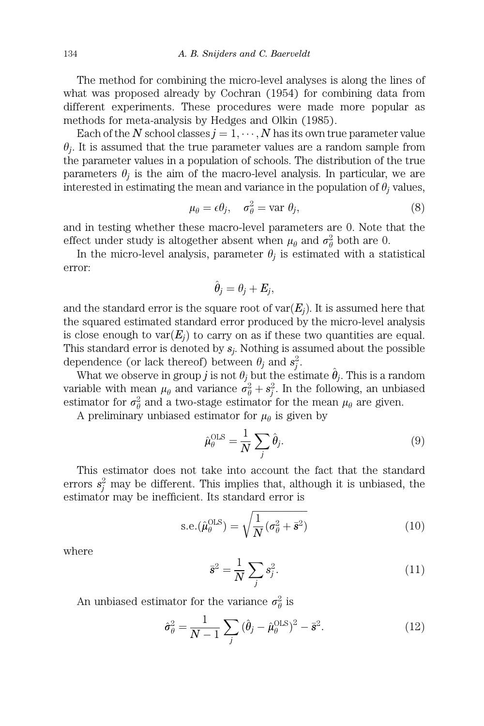The method for combining the micro-level analyses is along the lines of what was proposed already by Cochran (1954) for combining data from different experiments. These procedures were made more popular as methods for meta-analysis by Hedges and Olkin (1985).

Each of the N school classes  $j = 1, \dots, N$  has its own true parameter value  $\theta_i$ . It is assumed that the true parameter values are a random sample from the parameter values in a population of schools. The distribution of the true parameters  $\theta_i$  is the aim of the macro-level analysis. In particular, we are interested in estimating the mean and variance in the population of  $\theta_i$  values,

$$
\mu_{\theta} = \epsilon \theta_j, \quad \sigma_{\theta}^2 = \text{var } \theta_j,\tag{8}
$$

and in testing whether these macro-level parameters are 0. Note that the effect under study is altogether absent when  $\mu_{\theta}$  and  $\sigma_{\theta}^2$  both are 0.

In the micro-level analysis, parameter  $\theta_i$  is estimated with a statistical error:

$$
\hat{\theta}_j = \theta_j + E_j,
$$

and the standard error is the square root of  $var(E_i)$ . It is assumed here that the squared estimated standard error produced by the micro-level analysis is close enough to  $var(E_i)$  to carry on as if these two quantities are equal. This standard error is denoted by  $s_i$ . Nothing is assumed about the possible dependence (or lack thereof) between  $\theta_j$  and  $s_j^2$ .

What we observe in group j is not  $\theta_j$  but the estimate  $\hat{\theta}_j$ . This is a random variable with mean  $\mu_{\theta}$  and variance  $\sigma_{\theta}^2 + s_j^2$ . In the following, an unbiased estimator for  $\sigma_{\theta}^2$  and a two-stage estimator for the mean  $\mu_{\theta}$  are given.

A preliminary unbiased estimator for  $\mu_{\theta}$  is given by

$$
\hat{\mu}_{\theta}^{\text{OLS}} = \frac{1}{N} \sum_{j} \hat{\theta}_{j}.
$$
\n(9)

This estimator does not take into account the fact that the standard errors  $s_j^2$  may be different. This implies that, although it is unbiased, the estimator may be inefficient. Its standard error is

$$
\text{s.e.}(\hat{\mu}_{\theta}^{\text{OLS}}) = \sqrt{\frac{1}{N}(\sigma_{\theta}^2 + \bar{\mathbf{s}}^2)}
$$
(10)

where

$$
\bar{\mathbf{s}}^2 = \frac{1}{N} \sum_j s_j^2. \tag{11}
$$

An unbiased estimator for the variance  $\sigma_{\theta}^2$  is

$$
\hat{\sigma}_{\theta}^{2} = \frac{1}{N-1} \sum_{j} (\hat{\theta}_{j} - \hat{\mu}_{\theta}^{\text{OLS}})^{2} - \bar{\mathbf{s}}^{2}.
$$
 (12)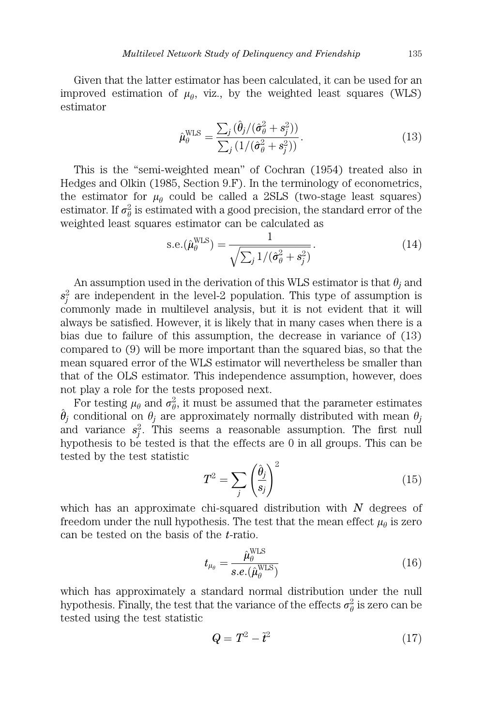Given that the latter estimator has been calculated, it can be used for an improved estimation of  $\mu_{\theta}$ , viz., by the weighted least squares (WLS) estimator

$$
\hat{\mu}_{\theta}^{\text{WLS}} = \frac{\sum_{j} (\hat{\theta}_{j} / (\hat{\sigma}_{\theta}^{2} + s_{j}^{2}))}{\sum_{j} (1 / (\hat{\sigma}_{\theta}^{2} + s_{j}^{2}))}.
$$
\n(13)

This is the ''semi-weighted mean'' of Cochran (1954) treated also in Hedges and Olkin (1985, Section 9.F). In the terminology of econometrics, the estimator for  $\mu_{\theta}$  could be called a 2SLS (two-stage least squares) estimator. If  $\sigma_{\theta}^2$  is estimated with a good precision, the standard error of the weighted least squares estimator can be calculated as

$$
\text{s.e.}(\hat{\mu}_{\theta}^{\text{WLS}}) = \frac{1}{\sqrt{\sum_{j} 1/(\hat{\sigma}_{\theta}^{2} + s_{j}^{2})}}.\tag{14}
$$

An assumption used in the derivation of this WLS estimator is that  $\theta_j$  and  $s_j^2$  are independent in the level-2 population. This type of assumption is commonly made in multilevel analysis, but it is not evident that it will always be satisfied. However, it is likely that in many cases when there is a bias due to failure of this assumption, the decrease in variance of (13) compared to (9) will be more important than the squared bias, so that the mean squared error of the WLS estimator will nevertheless be smaller than that of the OLS estimator. This independence assumption, however, does not play a role for the tests proposed next.

For testing  $\mu_{\theta}$  and  $\sigma_{\theta}^2$ , it must be assumed that the parameter estimates  $\hat{\theta}_j$  conditional on  $\theta_j$  are approximately normally distributed with mean  $\theta_j$ and variance  $s_j^2$ . This seems a reasonable assumption. The first null hypothesis to be tested is that the effects are 0 in all groups. This can be tested by the test statistic

$$
T^2 = \sum_{j} \left(\frac{\hat{\theta}_j}{s_j}\right)^2 \tag{15}
$$

which has an approximate chi-squared distribution with  $N$  degrees of freedom under the null hypothesis. The test that the mean effect  $\mu_{\theta}$  is zero can be tested on the basis of the t-ratio.

$$
t_{\mu_{\theta}} = \frac{\hat{\mu}_{\theta}^{\text{WLS}}}{s.e.(\hat{\mu}_{\theta}^{\text{WLS}})}
$$
(16)

which has approximately a standard normal distribution under the null hypothesis. Finally, the test that the variance of the effects  $\sigma_{\theta}^2$  is zero can be tested using the test statistic

$$
Q = T^2 - \tilde{t}^2 \tag{17}
$$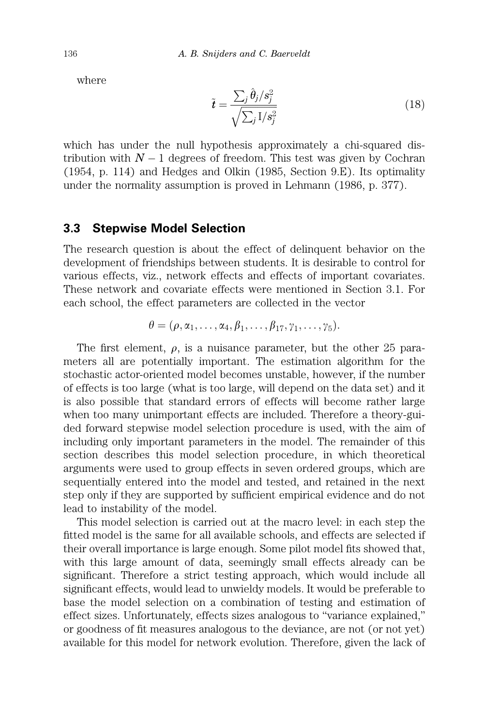where

$$
\tilde{t} = \frac{\sum_{j} \hat{\theta}_{j}/s_{j}^{2}}{\sqrt{\sum_{j} I/s_{j}^{2}}}
$$
\n(18)

which has under the null hypothesis approximately a chi-squared distribution with  $N-1$  degrees of freedom. This test was given by Cochran (1954, p. 114) and Hedges and Olkin (1985, Section 9.E). Its optimality under the normality assumption is proved in Lehmann (1986, p. 377).

## 3.3 Stepwise Model Selection

The research question is about the effect of delinquent behavior on the development of friendships between students. It is desirable to control for various effects, viz., network effects and effects of important covariates. These network and covariate effects were mentioned in Section 3.1. For each school, the effect parameters are collected in the vector

$$
\theta = (\rho, \alpha_1, \ldots, \alpha_4, \beta_1, \ldots, \beta_{17}, \gamma_1, \ldots, \gamma_5).
$$

The first element,  $\rho$ , is a nuisance parameter, but the other 25 parameters all are potentially important. The estimation algorithm for the stochastic actor-oriented model becomes unstable, however, if the number of effects is too large (what is too large, will depend on the data set) and it is also possible that standard errors of effects will become rather large when too many unimportant effects are included. Therefore a theory-guided forward stepwise model selection procedure is used, with the aim of including only important parameters in the model. The remainder of this section describes this model selection procedure, in which theoretical arguments were used to group effects in seven ordered groups, which are sequentially entered into the model and tested, and retained in the next step only if they are supported by sufficient empirical evidence and do not lead to instability of the model.

This model selection is carried out at the macro level: in each step the fitted model is the same for all available schools, and effects are selected if their overall importance is large enough. Some pilot model fits showed that, with this large amount of data, seemingly small effects already can be significant. Therefore a strict testing approach, which would include all significant effects, would lead to unwieldy models. It would be preferable to base the model selection on a combination of testing and estimation of effect sizes. Unfortunately, effects sizes analogous to ''variance explained,'' or goodness of fit measures analogous to the deviance, are not (or not yet) available for this model for network evolution. Therefore, given the lack of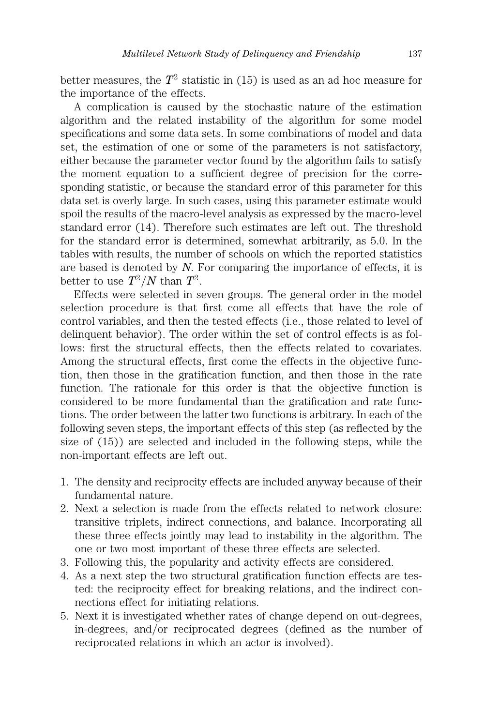better measures, the  $T^2$  statistic in (15) is used as an ad hoc measure for the importance of the effects.

A complication is caused by the stochastic nature of the estimation algorithm and the related instability of the algorithm for some model specifications and some data sets. In some combinations of model and data set, the estimation of one or some of the parameters is not satisfactory, either because the parameter vector found by the algorithm fails to satisfy the moment equation to a sufficient degree of precision for the corresponding statistic, or because the standard error of this parameter for this data set is overly large. In such cases, using this parameter estimate would spoil the results of the macro-level analysis as expressed by the macro-level standard error (14). Therefore such estimates are left out. The threshold for the standard error is determined, somewhat arbitrarily, as 5.0. In the tables with results, the number of schools on which the reported statistics are based is denoted by  $N$ . For comparing the importance of effects, it is better to use  $T^2/N$  than  $T^2$ .

Effects were selected in seven groups. The general order in the model selection procedure is that first come all effects that have the role of control variables, and then the tested effects (i.e., those related to level of delinquent behavior). The order within the set of control effects is as follows: first the structural effects, then the effects related to covariates. Among the structural effects, first come the effects in the objective function, then those in the gratification function, and then those in the rate function. The rationale for this order is that the objective function is considered to be more fundamental than the gratification and rate functions. The order between the latter two functions is arbitrary. In each of the following seven steps, the important effects of this step (as reflected by the size of (15)) are selected and included in the following steps, while the non-important effects are left out.

- 1. The density and reciprocity effects are included anyway because of their fundamental nature.
- 2. Next a selection is made from the effects related to network closure: transitive triplets, indirect connections, and balance. Incorporating all these three effects jointly may lead to instability in the algorithm. The one or two most important of these three effects are selected.
- 3. Following this, the popularity and activity effects are considered.
- 4. As a next step the two structural gratification function effects are tested: the reciprocity effect for breaking relations, and the indirect connections effect for initiating relations.
- 5. Next it is investigated whether rates of change depend on out-degrees, in-degrees, and/or reciprocated degrees (defined as the number of reciprocated relations in which an actor is involved).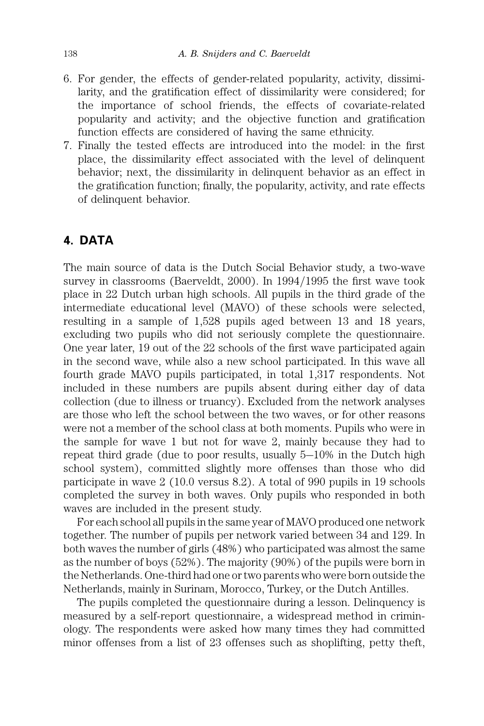- 6. For gender, the effects of gender-related popularity, activity, dissimilarity, and the gratification effect of dissimilarity were considered; for the importance of school friends, the effects of covariate-related popularity and activity; and the objective function and gratification function effects are considered of having the same ethnicity.
- 7. Finally the tested effects are introduced into the model: in the first place, the dissimilarity effect associated with the level of delinquent behavior; next, the dissimilarity in delinquent behavior as an effect in the gratification function; finally, the popularity, activity, and rate effects of delinquent behavior.

# 4. DATA

The main source of data is the Dutch Social Behavior study, a two-wave survey in classrooms (Baerveldt,  $2000$ ). In  $1994/1995$  the first wave took place in 22 Dutch urban high schools. All pupils in the third grade of the intermediate educational level (MAVO) of these schools were selected, resulting in a sample of 1,528 pupils aged between 13 and 18 years, excluding two pupils who did not seriously complete the questionnaire. One year later, 19 out of the 22 schools of the first wave participated again in the second wave, while also a new school participated. In this wave all fourth grade MAVO pupils participated, in total 1,317 respondents. Not included in these numbers are pupils absent during either day of data collection (due to illness or truancy). Excluded from the network analyses are those who left the school between the two waves, or for other reasons were not a member of the school class at both moments. Pupils who were in the sample for wave 1 but not for wave 2, mainly because they had to repeat third grade (due to poor results, usually  $5-10\%$  in the Dutch high school system), committed slightly more offenses than those who did participate in wave 2 (10.0 versus 8.2). A total of 990 pupils in 19 schools completed the survey in both waves. Only pupils who responded in both waves are included in the present study.

For each school all pupils in the same year of MAVO produced one network together. The number of pupils per network varied between 34 and 129. In both waves the number of girls (48%) who participated was almost the same as the number of boys (52%). The majority (90%) of the pupils were born in the Netherlands. One-third had one or two parents who were born outside the Netherlands, mainly in Surinam, Morocco, Turkey, or the Dutch Antilles.

The pupils completed the questionnaire during a lesson. Delinquency is measured by a self-report questionnaire, a widespread method in criminology. The respondents were asked how many times they had committed minor offenses from a list of 23 offenses such as shoplifting, petty theft,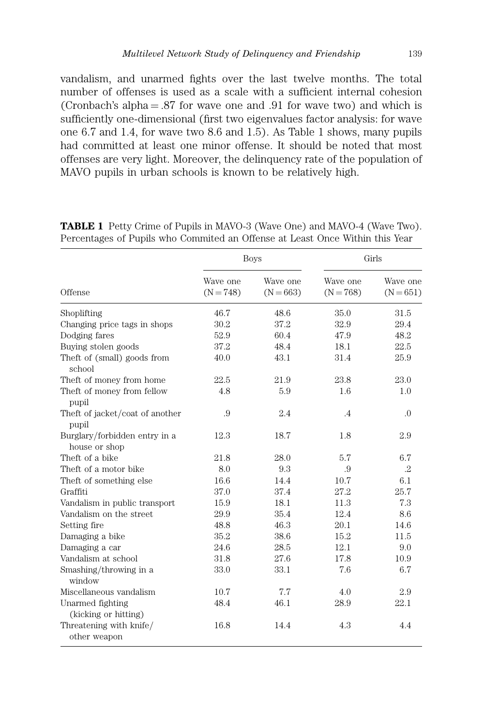vandalism, and unarmed fights over the last twelve months. The total number of offenses is used as a scale with a sufficient internal cohesion (Cronbach's alpha  $= .87$  for wave one and  $.91$  for wave two) and which is sufficiently one-dimensional (first two eigenvalues factor analysis: for wave one 6.7 and 1.4, for wave two 8.6 and 1.5). As Table 1 shows, many pupils had committed at least one minor offense. It should be noted that most offenses are very light. Moreover, the delinquency rate of the population of MAVO pupils in urban schools is known to be relatively high.

|                                                |                         | <b>Boys</b>             | Girls                   |                         |  |
|------------------------------------------------|-------------------------|-------------------------|-------------------------|-------------------------|--|
| Offense                                        | Wave one<br>$(N = 748)$ | Wave one<br>$(N = 663)$ | Wave one<br>$(N = 768)$ | Wave one<br>$(N = 651)$ |  |
| Shoplifting                                    | 46.7                    | 48.6                    | 35.0                    | 31.5                    |  |
| Changing price tags in shops                   | 30.2                    | 37.2                    | 32.9                    | 29.4                    |  |
| Dodging fares                                  | 52.9                    | 60.4                    | 47.9                    | 48.2                    |  |
| Buying stolen goods                            | 37.2                    | 48.4                    | 18.1                    | 22.5                    |  |
| Theft of (small) goods from<br>school          | 40.0                    | 43.1                    | 31.4                    | 25.9                    |  |
| Theft of money from home                       | 22.5                    | 21.9                    | 23.8                    | 23.0                    |  |
| Theft of money from fellow<br>pupil            | 4.8                     | 5.9                     | 1.6                     | 1.0                     |  |
| Theft of jacket/coat of another<br>pupil       | .9                      | 2.4                     | $\cdot$                 | $\Omega$ .              |  |
| Burglary/forbidden entry in a<br>house or shop | 12.3                    | 18.7                    | 1.8                     | 2.9                     |  |
| Theft of a bike                                | 21.8                    | 28.0                    | 5.7                     | 6.7                     |  |
| Theft of a motor bike                          | 8.0                     | 9.3                     | .9                      | $\cdot$ <sup>2</sup>    |  |
| Theft of something else                        | 16.6                    | 14.4                    | 10.7                    | 6.1                     |  |
| Graffiti                                       | 37.0                    | 37.4                    | 27.2                    | 25.7                    |  |
| Vandalism in public transport                  | 15.9                    | 18.1                    | 11.3                    | 7.3                     |  |
| Vandalism on the street                        | 29.9                    | 35.4                    | 12.4                    | 8.6                     |  |
| Setting fire                                   | 48.8                    | 46.3                    | 20.1                    | 14.6                    |  |
| Damaging a bike                                | 35.2                    | 38.6                    | 15.2                    | 11.5                    |  |
| Damaging a car                                 | 24.6                    | 28.5                    | 12.1                    | 9.0                     |  |
| Vandalism at school                            | 31.8                    | 27.6                    | 17.8                    | 10.9                    |  |
| Smashing/throwing in a<br>window               | 33.0                    | 33.1                    | 7.6                     | 6.7                     |  |
| Miscellaneous vandalism                        | 10.7                    | 7.7                     | 4.0                     | 2.9                     |  |
| Unarmed fighting<br>(kicking or hitting)       | 48.4                    | 46.1                    | 28.9                    | 22.1                    |  |
| Threatening with knife/<br>other weapon        | 16.8                    | 14.4                    | 4.3                     | 4.4                     |  |

TABLE 1 Petty Crime of Pupils in MAVO-3 (Wave One) and MAVO-4 (Wave Two). Percentages of Pupils who Commited an Offense at Least Once Within this Year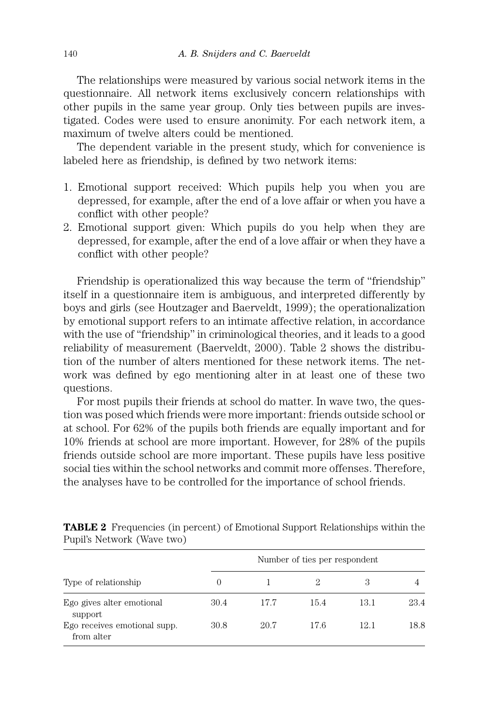The relationships were measured by various social network items in the questionnaire. All network items exclusively concern relationships with other pupils in the same year group. Only ties between pupils are investigated. Codes were used to ensure anonimity. For each network item, a maximum of twelve alters could be mentioned.

The dependent variable in the present study, which for convenience is labeled here as friendship, is defined by two network items:

- 1. Emotional support received: Which pupils help you when you are depressed, for example, after the end of a love affair or when you have a conflict with other people?
- 2. Emotional support given: Which pupils do you help when they are depressed, for example, after the end of a love affair or when they have a conflict with other people?

Friendship is operationalized this way because the term of ''friendship'' itself in a questionnaire item is ambiguous, and interpreted differently by boys and girls (see Houtzager and Baerveldt, 1999); the operationalization by emotional support refers to an intimate affective relation, in accordance with the use of "friendship" in criminological theories, and it leads to a good reliability of measurement (Baerveldt, 2000). Table 2 shows the distribution of the number of alters mentioned for these network items. The network was defined by ego mentioning alter in at least one of these two questions.

For most pupils their friends at school do matter. In wave two, the question was posed which friends were more important: friends outside school or at school. For 62% of the pupils both friends are equally important and for 10% friends at school are more important. However, for 28% of the pupils friends outside school are more important. These pupils have less positive social ties within the school networks and commit more offenses. Therefore, the analyses have to be controlled for the importance of school friends.

| Type of relationship                       | Number of ties per respondent |      |      |      |      |  |  |
|--------------------------------------------|-------------------------------|------|------|------|------|--|--|
|                                            | $\theta$                      |      | 2    | 3    |      |  |  |
| Ego gives alter emotional<br>support       | 30.4                          | 177  | 15.4 | 13.1 | 23.4 |  |  |
| Ego receives emotional supp.<br>from alter | 30.8                          | 20.7 | 176  | 12.1 | 18.8 |  |  |

TABLE 2 Frequencies (in percent) of Emotional Support Relationships within the Pupil's Network (Wave two)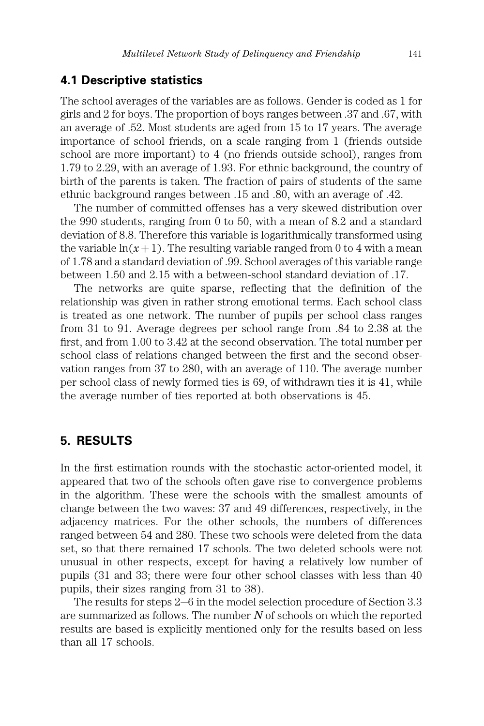#### 4.1 Descriptive statistics

The school averages of the variables are as follows. Gender is coded as 1 for girls and 2 for boys. The proportion of boys ranges between .37 and .67, with an average of .52. Most students are aged from 15 to 17 years. The average importance of school friends, on a scale ranging from 1 (friends outside school are more important) to 4 (no friends outside school), ranges from 1.79 to 2.29, with an average of 1.93. For ethnic background, the country of birth of the parents is taken. The fraction of pairs of students of the same ethnic background ranges between .15 and .80, with an average of .42.

The number of committed offenses has a very skewed distribution over the 990 students, ranging from 0 to 50, with a mean of 8.2 and a standard deviation of 8.8. Therefore this variable is logarithmically transformed using the variable  $ln(x + 1)$ . The resulting variable ranged from 0 to 4 with a mean of 1.78 and a standard deviation of .99. School averages of this variable range between 1.50 and 2.15 with a between-school standard deviation of .17.

The networks are quite sparse, reflecting that the definition of the relationship was given in rather strong emotional terms. Each school class is treated as one network. The number of pupils per school class ranges from 31 to 91. Average degrees per school range from .84 to 2.38 at the first, and from 1.00 to 3.42 at the second observation. The total number per school class of relations changed between the first and the second observation ranges from 37 to 280, with an average of 110. The average number per school class of newly formed ties is 69, of withdrawn ties it is 41, while the average number of ties reported at both observations is 45.

## 5. RESULTS

In the first estimation rounds with the stochastic actor-oriented model, it appeared that two of the schools often gave rise to convergence problems in the algorithm. These were the schools with the smallest amounts of change between the two waves: 37 and 49 differences, respectively, in the adjacency matrices. For the other schools, the numbers of differences ranged between 54 and 280. These two schools were deleted from the data set, so that there remained 17 schools. The two deleted schools were not unusual in other respects, except for having a relatively low number of pupils (31 and 33; there were four other school classes with less than 40 pupils, their sizes ranging from 31 to 38).

The results for steps  $2-6$  in the model selection procedure of Section 3.3 are summarized as follows. The number  $N$  of schools on which the reported results are based is explicitly mentioned only for the results based on less than all 17 schools.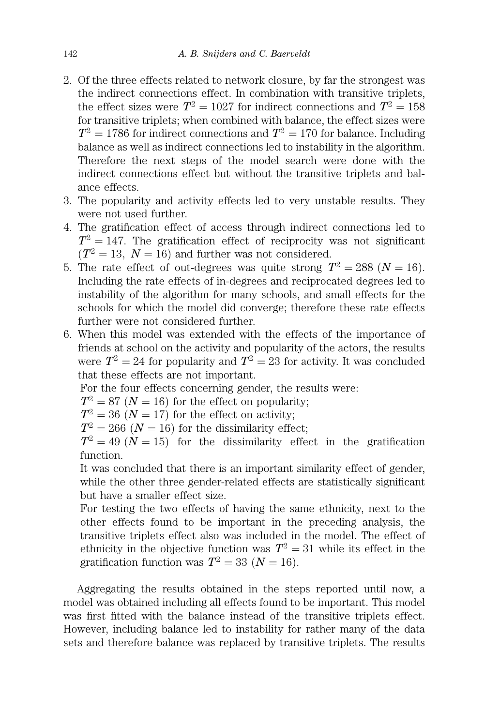- 2. Of the three effects related to network closure, by far the strongest was the indirect connections effect. In combination with transitive triplets, the effect sizes were  $T^2 = 1027$  for indirect connections and  $T^2 = 158$ for transitive triplets; when combined with balance, the effect sizes were  $T^2 = 1786$  for indirect connections and  $T^2 = 170$  for balance. Including balance as well as indirect connections led to instability in the algorithm. Therefore the next steps of the model search were done with the indirect connections effect but without the transitive triplets and balance effects.
- 3. The popularity and activity effects led to very unstable results. They were not used further.
- 4. The gratification effect of access through indirect connections led to  $T^2 = 147$ . The gratification effect of reciprocity was not significant  $(T^2 = 13, N = 16)$  and further was not considered.
- 5. The rate effect of out-degrees was quite strong  $T^2 = 288$   $(N = 16)$ . Including the rate effects of in-degrees and reciprocated degrees led to instability of the algorithm for many schools, and small effects for the schools for which the model did converge; therefore these rate effects further were not considered further.
- 6. When this model was extended with the effects of the importance of friends at school on the activity and popularity of the actors, the results were  $T^2 = 24$  for popularity and  $T^2 = 23$  for activity. It was concluded that these effects are not important.

For the four effects concerning gender, the results were:

 $T^2 = 87$  ( $N = 16$ ) for the effect on popularity;

 $T^2 = 36$   $(N = 17)$  for the effect on activity;

 $T^2 = 266$   $(N = 16)$  for the dissimilarity effect;

 $T^2 = 49 \; (\dot{N} = 15)$  for the dissimilarity effect in the gratification function.

It was concluded that there is an important similarity effect of gender, while the other three gender-related effects are statistically significant but have a smaller effect size.

For testing the two effects of having the same ethnicity, next to the other effects found to be important in the preceding analysis, the transitive triplets effect also was included in the model. The effect of ethnicity in the objective function was  $T^2 = 31$  while its effect in the gratification function was  $T^2 = 33$   $(N = 16)$ .

Aggregating the results obtained in the steps reported until now, a model was obtained including all effects found to be important. This model was first fitted with the balance instead of the transitive triplets effect. However, including balance led to instability for rather many of the data sets and therefore balance was replaced by transitive triplets. The results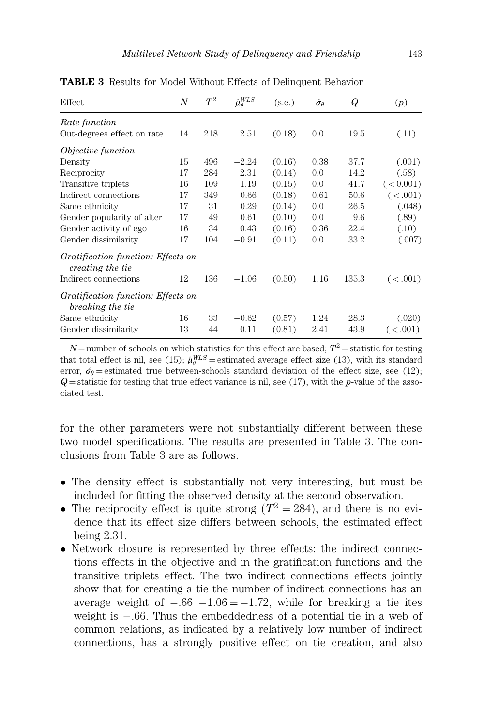| Effect                                                 | $\boldsymbol{N}$ | $\, T^2 \,$ | $\hat{\mu}^{WLS}_\theta$ | (s.e.) | $\hat{\sigma}_{\theta}$ | Q     | (p)       |  |
|--------------------------------------------------------|------------------|-------------|--------------------------|--------|-------------------------|-------|-----------|--|
| Rate function                                          |                  |             |                          |        |                         |       |           |  |
| Out-degrees effect on rate                             | 14               | 218         | 2.51                     | (0.18) | 0.0                     | 19.5  | (.11)     |  |
| <i>Objective function</i>                              |                  |             |                          |        |                         |       |           |  |
| Density                                                | 15               | 496         | $-2.24$                  | (0.16) | 0.38                    | 37.7  | (.001)    |  |
| Reciprocity                                            | 17               | 284         | 2.31                     | (0.14) | 0.0                     | 14.2  | (.58)     |  |
| Transitive triplets                                    | 16               | 109         | 1.19                     | (0.15) | 0.0                     | 41.7  | (< 0.001) |  |
| Indirect connections                                   | 17               | 349         | $-0.66$                  | (0.18) | 0.61                    | 50.6  | (< .001)  |  |
| Same ethnicity                                         | 17               | 31          | $-0.29$                  | (0.14) | 0.0                     | 26.5  | (.048)    |  |
| Gender popularity of alter                             | 17               | 49          | $-0.61$                  | (0.10) | 0.0                     | 9.6   | (.89)     |  |
| Gender activity of ego                                 | 16               | 34          | 0.43                     | (0.16) | 0.36                    | 22.4  | (.10)     |  |
| Gender dissimilarity                                   | 17               | 104         | $-0.91$                  | (0.11) | 0.0                     | 33.2  | (.007)    |  |
| Gratification function: Effects on<br>creating the tie |                  |             |                          |        |                         |       |           |  |
| Indirect connections                                   | 12               | 136         | $-1.06$                  | (0.50) | 1.16                    | 135.3 | (< .001)  |  |
| Gratification function: Effects on<br>breaking the tie |                  |             |                          |        |                         |       |           |  |
| Same ethnicity                                         | 16               | 33          | $-0.62$                  | (0.57) | 1.24                    | 28.3  | (.020)    |  |
| Gender dissimilarity                                   | 13               | 44          | 0.11                     | (0.81) | 2.41                    | 43.9  | (< .001)  |  |

TABLE 3 Results for Model Without Effects of Delinquent Behavior

 $N$  = number of schools on which statistics for this effect are based;  $T^2$  = statistic for testing that total effect is nil, see (15);  $\hat{\mu}_{\theta}^{WLS}$  = estimated average effect size (13), with its standard error,  $\hat{\sigma}_{\theta}$  = estimated true between-schools standard deviation of the effect size, see (12);  $Q$  = statistic for testing that true effect variance is nil, see (17), with the p-value of the associated test.

for the other parameters were not substantially different between these two model specifications. The results are presented in Table 3. The conclusions from Table 3 are as follows.

- The density effect is substantially not very interesting, but must be included for fitting the observed density at the second observation.
- The reciprocity effect is quite strong  $(T^2 = 284)$ , and there is no evidence that its effect size differs between schools, the estimated effect being 2.31.
- Network closure is represented by three effects: the indirect connections effects in the objective and in the gratification functions and the transitive triplets effect. The two indirect connections effects jointly show that for creating a tie the number of indirect connections has an average weight of  $-.66$   $-1.06 = -1.72$ , while for breaking a tie ites weight is  $-.66$ . Thus the embeddedness of a potential tie in a web of common relations, as indicated by a relatively low number of indirect connections, has a strongly positive effect on tie creation, and also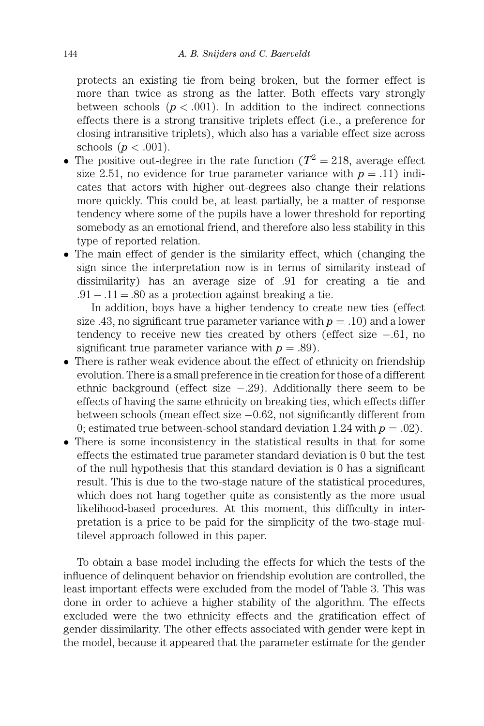protects an existing tie from being broken, but the former effect is more than twice as strong as the latter. Both effects vary strongly between schools  $(p < .001)$ . In addition to the indirect connections effects there is a strong transitive triplets effect (i.e., a preference for closing intransitive triplets), which also has a variable effect size across schools  $(p < .001)$ .

- The positive out-degree in the rate function ( $T^2 = 218$ , average effect size 2.51, no evidence for true parameter variance with  $p = .11$ ) indicates that actors with higher out-degrees also change their relations more quickly. This could be, at least partially, be a matter of response tendency where some of the pupils have a lower threshold for reporting somebody as an emotional friend, and therefore also less stability in this type of reported relation.
- The main effect of gender is the similarity effect, which (changing the sign since the interpretation now is in terms of similarity instead of dissimilarity) has an average size of .91 for creating a tie and  $.91 - .11 = .80$  as a protection against breaking a tie.

In addition, boys have a higher tendency to create new ties (effect size .43, no significant true parameter variance with  $p = .10$ ) and a lower tendency to receive new ties created by others (effect size -.61, no significant true parameter variance with  $p = .89$ ).

- There is rather weak evidence about the effect of ethnicity on friendship evolution. There is a small preference in tie creation for those of a different ethnic background (effect size  $-.29$ ). Additionally there seem to be effects of having the same ethnicity on breaking ties, which effects differ between schools (mean effect size -0.62, not significantly different from 0; estimated true between-school standard deviation 1.24 with  $p = .02$ ).
- There is some inconsistency in the statistical results in that for some effects the estimated true parameter standard deviation is 0 but the test of the null hypothesis that this standard deviation is 0 has a significant result. This is due to the two-stage nature of the statistical procedures, which does not hang together quite as consistently as the more usual likelihood-based procedures. At this moment, this difficulty in interpretation is a price to be paid for the simplicity of the two-stage multilevel approach followed in this paper.

To obtain a base model including the effects for which the tests of the influence of delinquent behavior on friendship evolution are controlled, the least important effects were excluded from the model of Table 3. This was done in order to achieve a higher stability of the algorithm. The effects excluded were the two ethnicity effects and the gratification effect of gender dissimilarity. The other effects associated with gender were kept in the model, because it appeared that the parameter estimate for the gender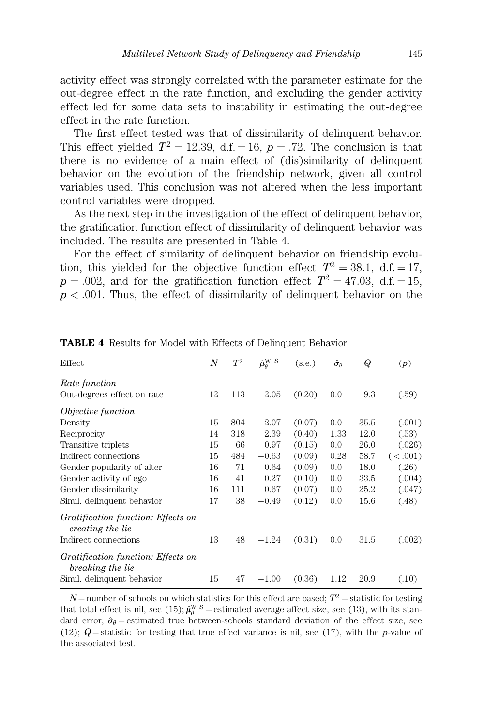activity effect was strongly correlated with the parameter estimate for the out-degree effect in the rate function, and excluding the gender activity effect led for some data sets to instability in estimating the out-degree effect in the rate function.

The first effect tested was that of dissimilarity of delinquent behavior. This effect yielded  $T^2 = 12.39$ , d.f. = 16, p = .72. The conclusion is that there is no evidence of a main effect of (dis)similarity of delinquent behavior on the evolution of the friendship network, given all control variables used. This conclusion was not altered when the less important control variables were dropped.

As the next step in the investigation of the effect of delinquent behavior, the gratification function effect of dissimilarity of delinquent behavior was included. The results are presented in Table 4.

For the effect of similarity of delinquent behavior on friendship evolution, this yielded for the objective function effect  $T^2 = 38.1$ , d.f. = 17,  $p = .002$ , and for the gratification function effect  $T^2 = 47.03$ , d.f. = 15,  $p < .001$ . Thus, the effect of dissimilarity of delinquent behavior on the

| Effect                                                 | $\boldsymbol{N}$ | $T^2$ | $\hat{\mu}^{\text{WLS}}_{\theta}$ | (s.e.) | $\hat{\sigma}_{\theta}$ | Q    | (p)     |
|--------------------------------------------------------|------------------|-------|-----------------------------------|--------|-------------------------|------|---------|
| Rate function                                          |                  |       |                                   |        |                         |      |         |
| Out-degrees effect on rate                             | 12               | 113   | 2.05                              | (0.20) | 0.0                     | 9.3  | (.59)   |
| <i>Objective function</i>                              |                  |       |                                   |        |                         |      |         |
| Density                                                | 15               | 804   | $-2.07$                           | (0.07) | 0.0                     | 35.5 | (.001)  |
| Reciprocity                                            | 14               | 318   | 2.39                              | (0.40) | 1.33                    | 12.0 | (.53)   |
| Transitive triplets                                    | 15               | 66    | 0.97                              | (0.15) | 0.0                     | 26.0 | (.026)  |
| Indirect connections                                   | 15               | 484   | $-0.63$                           | (0.09) | 0.28                    | 58.7 | (<.001) |
| Gender popularity of alter                             | 16               | 71    | $-0.64$                           | (0.09) | 0.0                     | 18.0 | (.26)   |
| Gender activity of ego                                 | 16               | 41    | 0.27                              | (0.10) | 0.0                     | 33.5 | (.004)  |
| Gender dissimilarity                                   | 16               | 111   | $-0.67$                           | (0.07) | 0.0                     | 25.2 | (.047)  |
| Simil. delinquent behavior                             | 17               | 38    | $-0.49$                           | (0.12) | 0.0                     | 15.6 | (.48)   |
| Gratification function: Effects on<br>creating the lie |                  |       |                                   |        |                         |      |         |
| Indirect connections                                   | 13               | 48    | $-1.24$                           | (0.31) | 0.0                     | 31.5 | (.002)  |
| Gratification function: Effects on<br>breaking the lie |                  |       |                                   |        |                         |      |         |
| Simil. delinquent behavior                             | 15               | 47    | $-1.00$                           | (0.36) | 1.12                    | 20.9 | (.10)   |

TABLE 4 Results for Model with Effects of Delinquent Behavior

 $N =$  number of schools on which statistics for this effect are based;  $T^2 =$  statistic for testing that total effect is nil, sec (15);  $\hat{\mu}_{\theta}^{WLS}$  = estimated average affect size, see (13), with its standard error;  $\hat{\sigma}_{\theta}$  estimated true between-schools standard deviation of the effect size, see (12);  $Q$  = statistic for testing that true effect variance is nil, see (17), with the p-value of the associated test.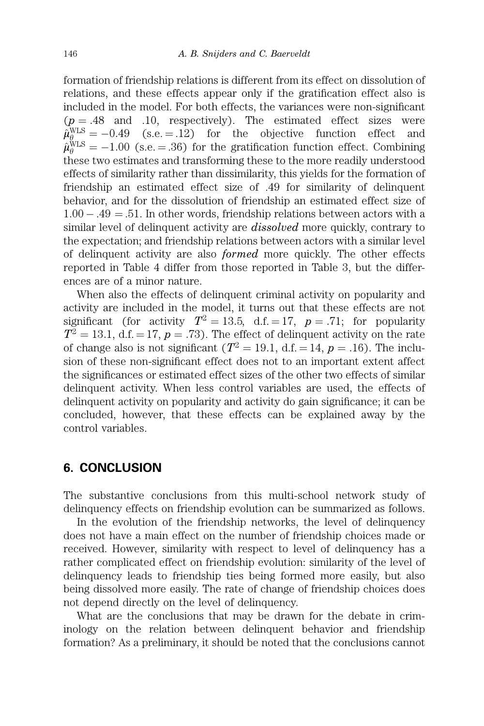formation of friendship relations is different from its effect on dissolution of relations, and these effects appear only if the gratification effect also is included in the model. For both effects, the variances were non-significant  $(p = .48$  and  $.10$ , respectively). The estimated effect sizes were  $\hat{\mu}^{\text{WLS}}_{\theta_{\text{max}}} = -0.49$  (s.e. = .12) for the objective function effect and  $\hat{\mu}_{\theta}^{\text{WLS}} = -1.00$  (s.e. = .36) for the gratification function effect. Combining these two estimates and transforming these to the more readily understood effects of similarity rather than dissimilarity, this yields for the formation of friendship an estimated effect size of .49 for similarity of delinquent behavior, and for the dissolution of friendship an estimated effect size of  $1.00 - .49 = .51$ . In other words, friendship relations between actors with a similar level of delinquent activity are *dissolved* more quickly, contrary to the expectation; and friendship relations between actors with a similar level of delinquent activity are also formed more quickly. The other effects reported in Table 4 differ from those reported in Table 3, but the differences are of a minor nature.

When also the effects of delinquent criminal activity on popularity and activity are included in the model, it turns out that these effects are not significant (for activity  $T^2 = 13.5$ , d.f. = 17, p = .71; for popularity  $T^2 = 13.1$ , d.f. = 17, p = .73). The effect of delinquent activity on the rate of change also is not significant ( $T^2 = 19.1$ , d.f.  $= 14$ ,  $p = .16$ ). The inclusion of these non-significant effect does not to an important extent affect the significances or estimated effect sizes of the other two effects of similar delinquent activity. When less control variables are used, the effects of delinquent activity on popularity and activity do gain significance; it can be concluded, however, that these effects can be explained away by the control variables.

## 6. CONCLUSION

The substantive conclusions from this multi-school network study of delinquency effects on friendship evolution can be summarized as follows.

In the evolution of the friendship networks, the level of delinquency does not have a main effect on the number of friendship choices made or received. However, similarity with respect to level of delinquency has a rather complicated effect on friendship evolution: similarity of the level of delinquency leads to friendship ties being formed more easily, but also being dissolved more easily. The rate of change of friendship choices does not depend directly on the level of delinquency.

What are the conclusions that may be drawn for the debate in criminology on the relation between delinquent behavior and friendship formation? As a preliminary, it should be noted that the conclusions cannot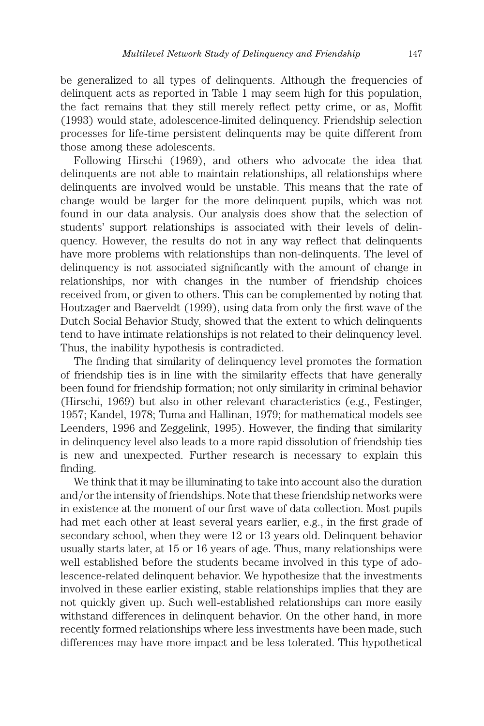be generalized to all types of delinquents. Although the frequencies of delinquent acts as reported in Table 1 may seem high for this population, the fact remains that they still merely reflect petty crime, or as, Moffit (1993) would state, adolescence-limited delinquency. Friendship selection processes for life-time persistent delinquents may be quite different from those among these adolescents.

Following Hirschi (1969), and others who advocate the idea that delinquents are not able to maintain relationships, all relationships where delinquents are involved would be unstable. This means that the rate of change would be larger for the more delinquent pupils, which was not found in our data analysis. Our analysis does show that the selection of students' support relationships is associated with their levels of delinquency. However, the results do not in any way reflect that delinquents have more problems with relationships than non-delinquents. The level of delinquency is not associated significantly with the amount of change in relationships, nor with changes in the number of friendship choices received from, or given to others. This can be complemented by noting that Houtzager and Baerveldt (1999), using data from only the first wave of the Dutch Social Behavior Study, showed that the extent to which delinquents tend to have intimate relationships is not related to their delinquency level. Thus, the inability hypothesis is contradicted.

The finding that similarity of delinquency level promotes the formation of friendship ties is in line with the similarity effects that have generally been found for friendship formation; not only similarity in criminal behavior (Hirschi, 1969) but also in other relevant characteristics (e.g., Festinger, 1957; Kandel, 1978; Tuma and Hallinan, 1979; for mathematical models see Leenders, 1996 and Zeggelink, 1995). However, the finding that similarity in delinquency level also leads to a more rapid dissolution of friendship ties is new and unexpected. Further research is necessary to explain this finding.

We think that it may be illuminating to take into account also the duration and/or the intensity of friendships. Note that these friendship networks were in existence at the moment of our first wave of data collection. Most pupils had met each other at least several years earlier, e.g., in the first grade of secondary school, when they were 12 or 13 years old. Delinquent behavior usually starts later, at 15 or 16 years of age. Thus, many relationships were well established before the students became involved in this type of adolescence-related delinquent behavior. We hypothesize that the investments involved in these earlier existing, stable relationships implies that they are not quickly given up. Such well-established relationships can more easily withstand differences in delinquent behavior. On the other hand, in more recently formed relationships where less investments have been made, such differences may have more impact and be less tolerated. This hypothetical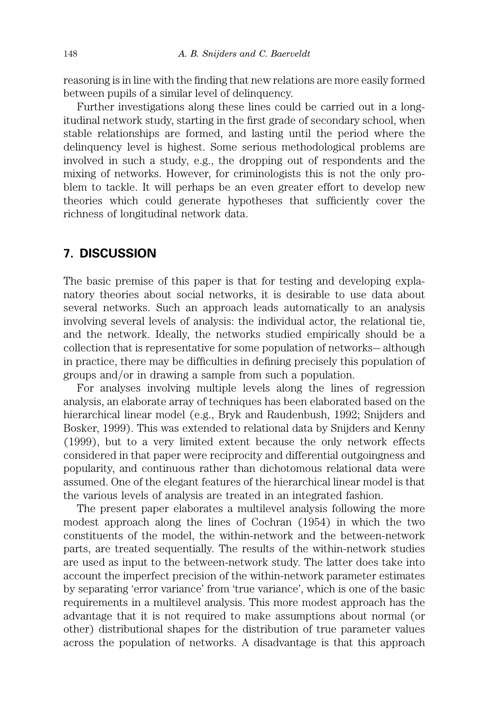reasoning is in line with the finding that new relations are more easily formed between pupils of a similar level of delinquency.

Further investigations along these lines could be carried out in a longitudinal network study, starting in the first grade of secondary school, when stable relationships are formed, and lasting until the period where the delinquency level is highest. Some serious methodological problems are involved in such a study, e.g., the dropping out of respondents and the mixing of networks. However, for criminologists this is not the only problem to tackle. It will perhaps be an even greater effort to develop new theories which could generate hypotheses that sufficiently cover the richness of longitudinal network data.

## 7. DISCUSSION

The basic premise of this paper is that for testing and developing explanatory theories about social networks, it is desirable to use data about several networks. Such an approach leads automatically to an analysis involving several levels of analysis: the individual actor, the relational tie, and the network. Ideally, the networks studied empirically should be a collection that is representative for some population of networks-although in practice, there may be difficulties in defining precisely this population of groups and/or in drawing a sample from such a population.

For analyses involving multiple levels along the lines of regression analysis, an elaborate array of techniques has been elaborated based on the hierarchical linear model (e.g., Bryk and Raudenbush, 1992; Snijders and Bosker, 1999). This was extended to relational data by Snijders and Kenny (1999), but to a very limited extent because the only network effects considered in that paper were reciprocity and differential outgoingness and popularity, and continuous rather than dichotomous relational data were assumed. One of the elegant features of the hierarchical linear model is that the various levels of analysis are treated in an integrated fashion.

The present paper elaborates a multilevel analysis following the more modest approach along the lines of Cochran (1954) in which the two constituents of the model, the within-network and the between-network parts, are treated sequentially. The results of the within-network studies are used as input to the between-network study. The latter does take into account the imperfect precision of the within-network parameter estimates by separating 'error variance' from 'true variance', which is one of the basic requirements in a multilevel analysis. This more modest approach has the advantage that it is not required to make assumptions about normal (or other) distributional shapes for the distribution of true parameter values across the population of networks. A disadvantage is that this approach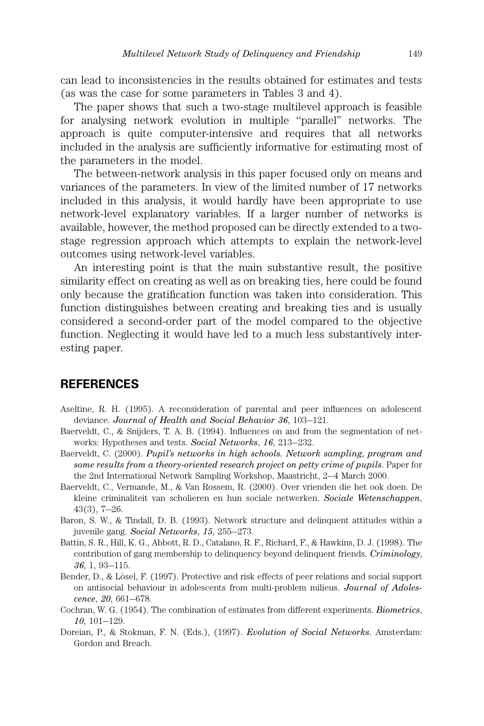can lead to inconsistencies in the results obtained for estimates and tests (as was the case for some parameters in Tables 3 and 4).

The paper shows that such a two-stage multilevel approach is feasible for analysing network evolution in multiple ''parallel'' networks. The approach is quite computer-intensive and requires that all networks included in the analysis are sufficiently informative for estimating most of the parameters in the model.

The between-network analysis in this paper focused only on means and variances of the parameters. In view of the limited number of 17 networks included in this analysis, it would hardly have been appropriate to use network-level explanatory variables. If a larger number of networks is available, however, the method proposed can be directly extended to a twostage regression approach which attempts to explain the network-level outcomes using network-level variables.

An interesting point is that the main substantive result, the positive similarity effect on creating as well as on breaking ties, here could be found only because the gratification function was taken into consideration. This function distinguishes between creating and breaking ties and is usually considered a second-order part of the model compared to the objective function. Neglecting it would have led to a much less substantively interesting paper.

## **REFERENCES**

- Aseltine, R. H. (1995). A reconsideration of parental and peer influences on adolescent deviance. Journal of Health and Social Behavior 36, 103-121.
- Baerveldt, C., & Snijders, T. A. B. (1994). Influences on and from the segmentation of networks: Hypotheses and tests. Social Networks, 16, 213–232.
- Baerveldt, C. (2000). Pupil's networks in high schools. Network sampling, program and some results from a theory-oriented research project on petty crime of pupils. Paper for the 2nd International Network Sampling Workshop, Maastricht, 2-4 March 2000.
- Baerveldt, C., Vermande, M., & Van Rossem, R. (2000). Over vrienden die het ook doen. De kleine criminaliteit van scholieren en hun sociale netwerken. Sociale Wetenschappen,  $43(3)$ ,  $7-26$ .
- Baron, S. W., & Tindall, D. B. (1993). Network structure and delinquent attitudes within a juvenile gang. Social Networks,  $15$ ,  $255-273$ .
- Battin, S. R., Hill, K. G., Abbott, R. D., Catalano, R. F., Richard, F., & Hawkins, D. J. (1998). The contribution of gang membership to delinquency beyond delinquent friends. Criminology,  $36, 1, 93 - 115.$
- Bender, D., & Lösel, F. (1997). Protective and risk effects of peer relations and social support on antisocial behaviour in adolescents from multi-problem milieus. Journal of Adolescence, 20, 661-678.
- Cochran, W. G. (1954). The combination of estimates from different experiments. Biometrics,  $10, 101 - 129.$
- Doreian, P., & Stokman, F. N. (Eds.), (1997). Evolution of Social Networks. Amsterdam: Gordon and Breach.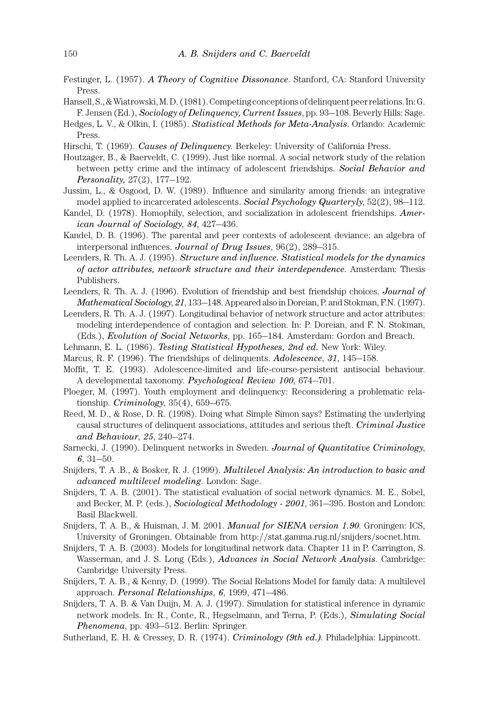- Festinger, L. (1957). A Theory of Cognitive Dissonance. Stanford, CA: Stanford University Press.
- Hansell,S.,&Wiatrowski,M.D.(1981).Competingconceptionsofdelinquentpeerrelations.In:G. F. Jensen (Ed.), Sociology of Delinquency, Current Issues, pp. 93–108. Beverly Hills: Sage.
- Hedges, L. V., & Olkin, I. (1985). Statistical Methods for Meta-Analysis. Orlando: Academic Press.
- Hirschi, T. (1969). Causes of Delinquency. Berkeley: University of California Press.
- Houtzager, B., & Baerveldt, C. (1999). Just like normal. A social network study of the relation between petty crime and the intimacy of adolescent friendships. Social Behavior and Personality,  $27(2)$ ,  $177-192$ .
- Jussim, L., & Osgood, D. W. (1989). Influence and similarity among friends: an integrative model applied to incarcerated adolescents. Social Psychology Quarteryly,  $52(2)$ ,  $98-112$ .
- Kandel, D. (1978). Homophily, selection, and socialization in adolescent friendships. American Journal of Sociology, 84, 427–436.
- Kandel, D. B. (1996). The parental and peer contexts of adolescent deviance: an algebra of interpersonal influences. Journal of Drug Issues,  $96(2)$ ,  $289-315$ .
- Leenders, R. Th. A. J. (1995). Structure and influence. Statistical models for the dynamics of actor attributes, network structure and their interdependence. Amsterdam: Thesis Publishers.
- Leenders, R. Th. A. J. (1996). Evolution of friendship and best friendship choices. Journal of Mathematical Sociology, 21, 133–148. Appeared also in Doreian, P. and Stokman, F.N. (1997).
- Leenders, R. Th. A. J. (1997). Longitudinal behavior of network structure and actor attributes: modeling interdependence of contagion and selection. In: P. Doreian, and F. N. Stokman, (Eds.), *Evolution of Social Networks*, pp. 165–184. Amsterdam: Gordon and Breach.
- Lehmann, E. L. (1986). Testing Statistical Hypotheses, 2nd ed. New York: Wiley.
- Marcus, R. F. (1996). The friendships of delinquents.  $Adolescence$ , 31, 145–158.
- Moffit, T. E. (1993). Adolescence-limited and life-course-persistent antisocial behaviour. A developmental taxonomy. Psychological Review 100, 674-701.
- Ploeger, M. (1997). Youth employment and delinquency: Reconsidering a problematic relationship.  $Criminology$ ,  $35(4)$ ,  $659-675$ .
- Reed, M. D., & Rose, D. R. (1998). Doing what Simple Simon says? Estimating the underlying causal structures of delinquent associations, attitudes and serious theft. Criminal Justice and Behaviour,  $25$ ,  $240-274$ .
- Sarnecki, J. (1990). Delinquent networks in Sweden. Journal of Quantitative Criminology, 6,  $31–50$ .
- Snijders, T. A .B., & Bosker, R. J. (1999). Multilevel Analysis: An introduction to basic and advanced multilevel modeling. London: Sage.
- Snijders, T. A. B. (2001). The statistical evaluation of social network dynamics. M. E., Sobel, and Becker, M. P. (eds.), *Sociological Methodology - 2001*, 361–395. Boston and London: Basil Blackwell.
- Snijders, T. A. B., & Huisman, J. M. 2001. Manual for SIENA version 1.90. Groningen: ICS, University of Groningen. Obtainable from http://stat.gamma.rug.nl/snijders/socnet.htm.
- Snijders, T. A. B. (2003). Models for longitudinal network data. Chapter 11 in P. Carrington, S. Wasserman, and J. S. Long (Eds.), Advances in Social Network Analysis. Cambridge: Cambridge University Press.
- Snijders, T. A. B., & Kenny, D. (1999). The Social Relations Model for family data: A multilevel approach. Personal Relationships,  $6$ , 1999, 471-486.
- Snijders, T. A. B. & Van Duijn, M. A. J. (1997). Simulation for statistical inference in dynamic network models. In: R., Conte, R., Hegselmann, and Terna, P. (Eds.), Simulating Social Phenomena, pp. 493–512. Berlin: Springer.
- Sutherland, E. H. & Cressey, D. R. (1974). Criminology (9th ed.). Philadelphia: Lippincott.